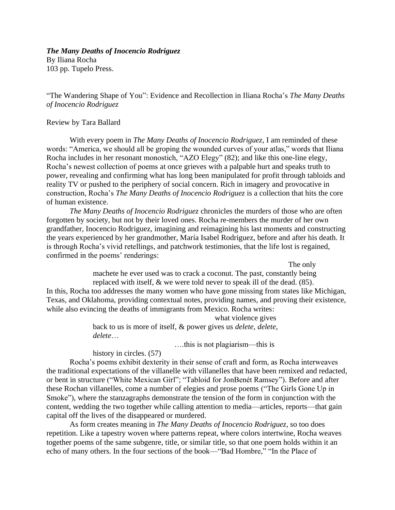## *The Many Deaths of Inocencio Rodriguez*

By Iliana Rocha 103 pp. Tupelo Press.

"The Wandering Shape of You": Evidence and Recollection in Iliana Rocha's *The Many Deaths of Inocencio Rodriguez*

## Review by Tara Ballard

With every poem in *The Many Deaths of Inocencio Rodriguez*, I am reminded of these words: "America, we should all be groping the wounded curves of your atlas," words that Iliana Rocha includes in her resonant monostich, "AZO Elegy" (82); and like this one-line elegy, Rocha's newest collection of poems at once grieves with a palpable hurt and speaks truth to power, revealing and confirming what has long been manipulated for profit through tabloids and reality TV or pushed to the periphery of social concern. Rich in imagery and provocative in construction, Rocha's *The Many Deaths of Inocencio Rodriguez* is a collection that hits the core of human existence.

*The Many Deaths of Inocencio Rodriguez* chronicles the murders of those who are often forgotten by society, but not by their loved ones. Rocha re-members the murder of her own grandfather, Inocencio Rodriguez, imagining and reimagining his last moments and constructing the years experienced by her grandmother, María Isabel Rodriguez, before and after his death. It is through Rocha's vivid retellings, and patchwork testimonies, that the life lost is regained, confirmed in the poems' renderings:

The only

machete he ever used was to crack a coconut. The past, constantly being replaced with itself, & we were told never to speak ill of the dead. (85). In this, Rocha too addresses the many women who have gone missing from states like Michigan, Texas, and Oklahoma, providing contextual notes, providing names, and proving their existence, while also evincing the deaths of immigrants from Mexico. Rocha writes:

> what violence gives back to us is more of itself, & power gives us *delete*, *delete*, *delete*…

> > ….this is not plagiarism—this is

history in circles.  $(57)$ 

Rocha's poems exhibit dexterity in their sense of craft and form, as Rocha interweaves the traditional expectations of the villanelle with villanelles that have been remixed and redacted, or bent in structure ("White Mexican Girl"; "Tabloid for JonBenét Ramsey"). Before and after these Rochan villanelles, come a number of elegies and prose poems ("The Girls Gone Up in Smoke"), where the stanzagraphs demonstrate the tension of the form in conjunction with the content, wedding the two together while calling attention to media—articles, reports—that gain capital off the lives of the disappeared or murdered.

As form creates meaning in *The Many Deaths of Inocencio Rodriguez*, so too does repetition. Like a tapestry woven where patterns repeat, where colors intertwine, Rocha weaves together poems of the same subgenre, title, or similar title, so that one poem holds within it an echo of many others. In the four sections of the book—"Bad Hombre," "In the Place of